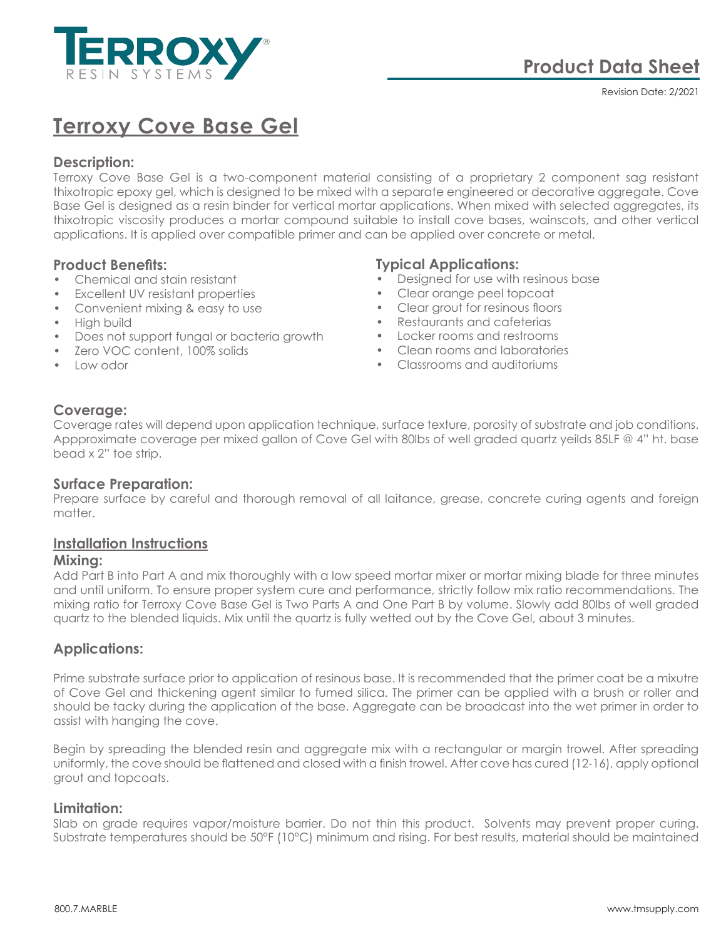

Revision Date: 2/2021

# **Terroxy Cove Base Gel**

# **Description:**

Terroxy Cove Base Gel is a two-component material consisting of a proprietary 2 component sag resistant thixotropic epoxy gel, which is designed to be mixed with a separate engineered or decorative aggregate. Cove Base Gel is designed as a resin binder for vertical mortar applications. When mixed with selected aggregates, its thixotropic viscosity produces a mortar compound suitable to install cove bases, wainscots, and other vertical applications. It is applied over compatible primer and can be applied over concrete or metal.

## **Product Benefits:**

- Chemical and stain resistant
- Excellent UV resistant properties
- Convenient mixing & easy to use
- High build
- Does not support fungal or bacteria growth
- Zero VOC content, 100% solids
- Low odor

# **Typical Applications:**

- Designed for use with resinous base
- Clear orange peel topcoat
- Clear grout for resinous floors
- Restaurants and cafeterias
- Locker rooms and restrooms
- Clean rooms and laboratories
- Classrooms and auditoriums

## **Coverage:**

Coverage rates will depend upon application technique, surface texture, porosity of substrate and job conditions. Appproximate coverage per mixed gallon of Cove Gel with 80lbs of well graded quartz yeilds 85LF @ 4" ht. base bead x 2" toe strip.

#### **Surface Preparation:**

Prepare surface by careful and thorough removal of all laitance, grease, concrete curing agents and foreign matter.

## **Installation Instructions**

#### **Mixing:**

Add Part B into Part A and mix thoroughly with a low speed mortar mixer or mortar mixing blade for three minutes and until uniform. To ensure proper system cure and performance, strictly follow mix ratio recommendations. The mixing ratio for Terroxy Cove Base Gel is Two Parts A and One Part B by volume. Slowly add 80lbs of well graded quartz to the blended liquids. Mix until the quartz is fully wetted out by the Cove Gel, about 3 minutes.

## **Applications:**

Prime substrate surface prior to application of resinous base. It is recommended that the primer coat be a mixutre of Cove Gel and thickening agent similar to fumed silica. The primer can be applied with a brush or roller and should be tacky during the application of the base. Aggregate can be broadcast into the wet primer in order to assist with hanging the cove.

Begin by spreading the blended resin and aggregate mix with a rectangular or margin trowel. After spreading uniformly, the cove should be flattened and closed with a finish trowel. After cove has cured (12-16), apply optional grout and topcoats.

#### **Limitation:**

Slab on grade requires vapor/moisture barrier. Do not thin this product. Solvents may prevent proper curing. Substrate temperatures should be 50°F (10°C) minimum and rising. For best results, material should be maintained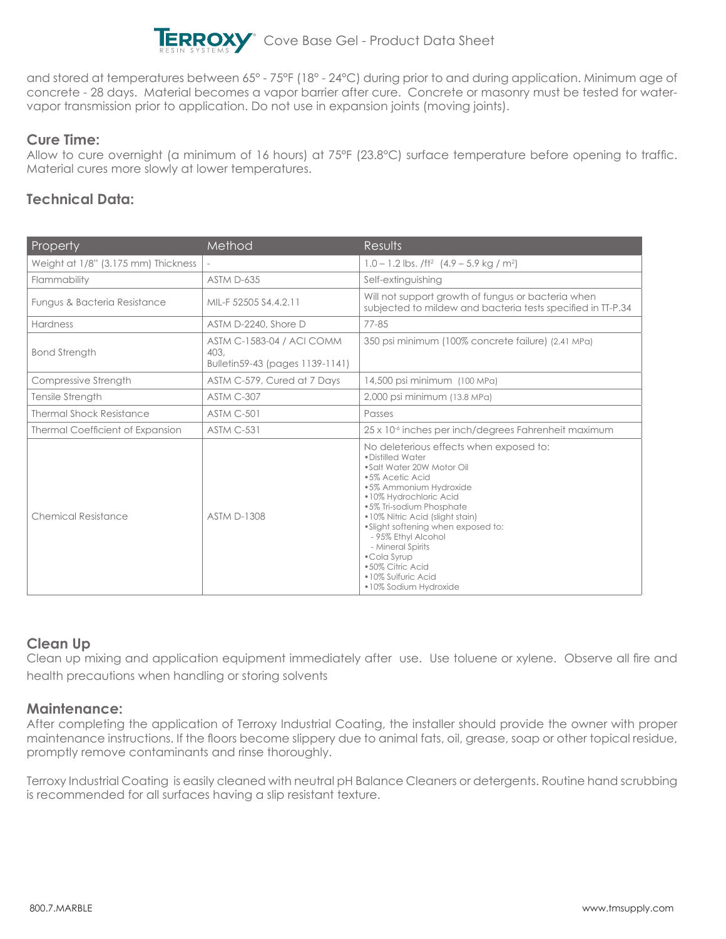

and stored at temperatures between 65° - 75°F (18° - 24°C) during prior to and during application. Minimum age of concrete - 28 days. Material becomes a vapor barrier after cure. Concrete or masonry must be tested for watervapor transmission prior to application. Do not use in expansion joints (moving joints).

# **Cure Time:**

Allow to cure overnight (a minimum of 16 hours) at 75°F (23.8°C) surface temperature before opening to traffic. Material cures more slowly at lower temperatures.

# **Technical Data:**

| Property                                | Method                                                                      | Results                                                                                                                                                                                                                                                                                                                                                                                              |
|-----------------------------------------|-----------------------------------------------------------------------------|------------------------------------------------------------------------------------------------------------------------------------------------------------------------------------------------------------------------------------------------------------------------------------------------------------------------------------------------------------------------------------------------------|
| Weight at 1/8" (3.175 mm) Thickness     |                                                                             | $1.0 - 1.2$ lbs. /ft <sup>2</sup> $(4.9 - 5.9$ kg / m <sup>2</sup> )                                                                                                                                                                                                                                                                                                                                 |
| Flammability                            | <b>ASTM D-635</b>                                                           | Self-extinguishing                                                                                                                                                                                                                                                                                                                                                                                   |
| Fungus & Bacteria Resistance            | MIL-F 52505 S4.4.2.11                                                       | Will not support growth of fungus or bacteria when<br>subjected to mildew and bacteria tests specified in TT-P.34                                                                                                                                                                                                                                                                                    |
| <b>Hardness</b>                         | ASTM D-2240, Shore D                                                        | 77-85                                                                                                                                                                                                                                                                                                                                                                                                |
| <b>Bond Strength</b>                    | <b>ASTM C-1583-04 / ACI COMM</b><br>403,<br>Bulletin59-43 (pages 1139-1141) | 350 psi minimum (100% concrete failure) (2.41 MPa)                                                                                                                                                                                                                                                                                                                                                   |
| Compressive Strength                    | ASTM C-579, Cured at 7 Days                                                 | 14,500 psi minimum (100 MPa)                                                                                                                                                                                                                                                                                                                                                                         |
| Tensile Strength                        | ASTM C-307                                                                  | 2,000 psi minimum (13.8 MPa)                                                                                                                                                                                                                                                                                                                                                                         |
| <b>Thermal Shock Resistance</b>         | ASTM C-501                                                                  | Passes                                                                                                                                                                                                                                                                                                                                                                                               |
| <b>Thermal Coefficient of Expansion</b> | <b>ASTM C-531</b>                                                           | 25 x 10 <sup>-6</sup> inches per inch/degrees Fahrenheit maximum                                                                                                                                                                                                                                                                                                                                     |
| Chemical Resistance                     | <b>ASTM D-1308</b>                                                          | No deleterious effects when exposed to:<br>• Distilled Water<br>.Salt Water 20W Motor Oil<br>•5% Acetic Acid<br>•5% Ammonium Hydroxide<br>•10% Hydrochloric Acid<br>•5% Tri-sodium Phosphate<br>•10% Nitric Acid (slight stain)<br>.Slight softening when exposed to:<br>- 95% Ethyl Alcohol<br>- Mineral Spirits<br>• Cola Syrup<br>•50% Citric Acid<br>•10% Sulfuric Acid<br>•10% Sodium Hydroxide |

# **Clean Up**

Clean up mixing and application equipment immediately after use. Use toluene or xylene. Observe all fire and health precautions when handling or storing solvents

## **Maintenance:**

After completing the application of Terroxy Industrial Coating, the installer should provide the owner with proper maintenance instructions. If the floors become slippery due to animal fats, oil, grease, soap or other topical residue, promptly remove contaminants and rinse thoroughly.

Terroxy Industrial Coating is easily cleaned with neutral pH Balance Cleaners or detergents. Routine hand scrubbing is recommended for all surfaces having a slip resistant texture.